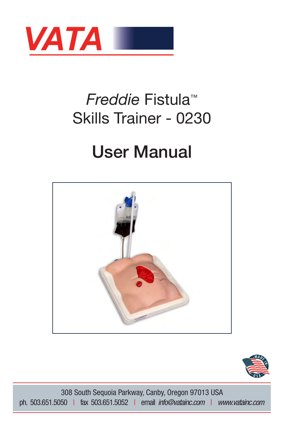

## *Freddie* Fistula™ Skills Trainer - 0230

# User Manual





308 South Sequoia Parkway, Canby, Oregon 97013 USA ph. 503.651.5050 | fax 503.651.5052 | email *info@vatainc.com* | *www.vatainc.com*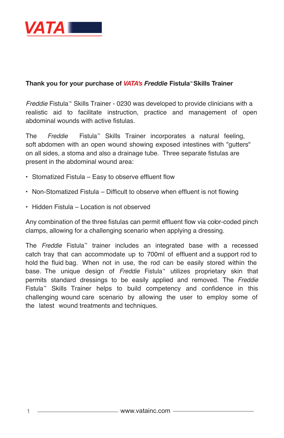

#### **Thank you for your purchase of** *VATA's Freddie* **Fistula ™ Skills Trainer**

*Freddie* Fistula™ Skills Trainer - 0230 was developed to provide clinicians with a realistic aid to facilitate instruction, practice and management of open abdominal wounds with active fistulas.

The *Freddie* Fistula™ Skills Trainer incorporates a natural feeling, soft abdomen with an open wound showing exposed intestines with "gutters" on all sides, a stoma and also a drainage tube. Three separate fistulas are present in the abdominal wound area:

- Stomatized Fistula Easy to observe effluent flow
- Non-Stomatized Fistula Difficult to observe when effluent is not flowing
- Hidden Fistula Location is not observed

Any combination of the three fistulas can permit effluent flow via color-coded pinch clamps, allowing for a challenging scenario when applying a dressing.

The *Freddie* Fistula™ trainer includes an integrated base with a recessed catch tray that can accommodate up to 700ml of effluent and a support rod to hold the fluid bag. When not in use, the rod can be easily stored within the base. The unique design of *Freddie* Fistula™ utilizes proprietary skin that permits standard dressings to be easily applied and removed. The *Freddie* Fistula™ Skills Trainer helps to build competency and confidence in this challenging wound care scenario by allowing the user to employ some of the latest wound treatments and techniques.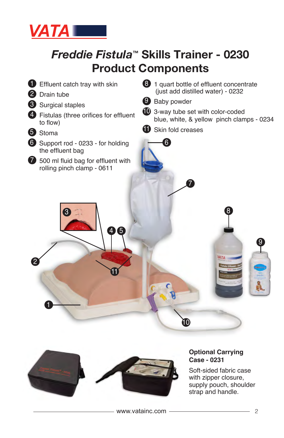

### *Freddie Fistula***™ Skills Trainer - 0230 Product Components**





#### **Optional Carrying Case - 0231**

Soft-sided fabric case with zipper closure, supply pouch, shoulder strap and handle.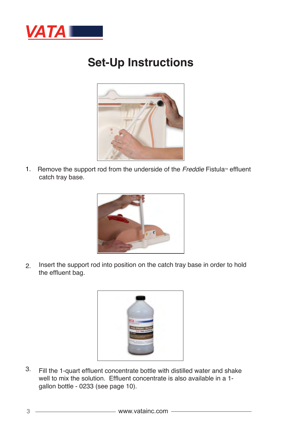

#### **Set-Up Instructions**



1. Remove the support rod from the underside of the *Freddie* Fistula<sup>*m*</sup> effluent catch tray base.



2. Insert the support rod into position on the catch tray base in order to hold the effluent bag.



3. Fill the 1-quart effluent concentrate bottle with distilled water and shake well to mix the solution. Effluent concentrate is also available in a 1 gallon bottle - 0233 (see page 10).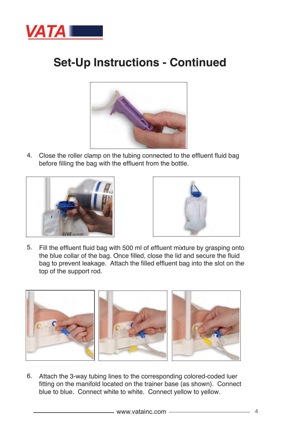

### **Set-Up Instructions - Continued**



Close the roller clamp on the tubing connected to the effluent fluid bag 4. before filling the bag with the effluent from the bottle.





Fill the effluent fluid bag with 500 ml of effluent mixture by grasping onto 5. the blue collar of the bag. Once filled, close the lid and secure the fluid bag to prevent leakage. Attach the filled effluent bag into the slot on the top of the support rod.



Attach the 3-way tubing lines to the corresponding colored-coded luer 6. fitting on the manifold located on the trainer base (as shown). Connect blue to blue. Connect white to white. Connect yellow to yellow.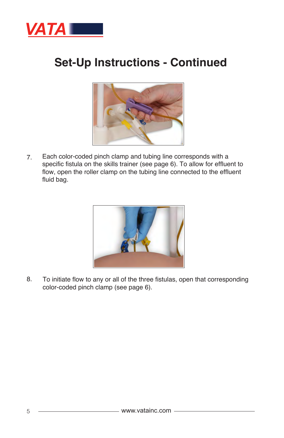

#### **Set-Up Instructions - Continued**



Each color-coded pinch clamp and tubing line corresponds with a specific fistula on the skills trainer (see page 6). To allow for effluent to flow, open the roller clamp on the tubing line connected to the effluent fluid bag. 7.



To initiate flow to any or all of the three fistulas, open that corresponding color-coded pinch clamp (see page 6). 8.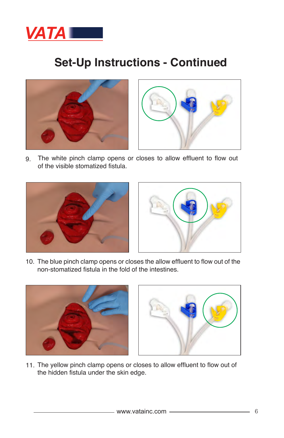

#### **Set-Up Instructions - Continued**





The white pinch clamp opens or closes to allow effluent to flow out of the visible stomatized fistula. 9.





10. The blue pinch clamp opens or closes the allow effluent to flow out of the non-stomatized fistula in the fold of the intestines.





11. The yellow pinch clamp opens or closes to allow effluent to flow out of the hidden fistula under the skin edge.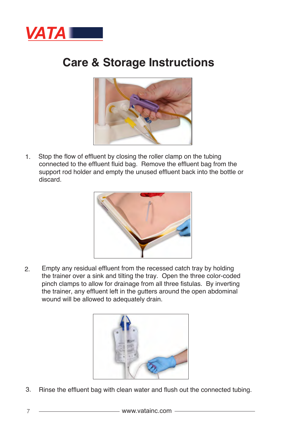

#### **Care & Storage Instructions**



1. Stop the flow of effluent by closing the roller clamp on the tubing connected to the effluent fluid bag. Remove the effluent bag from the support rod holder and empty the unused effluent back into the bottle or discard.



Empty any residual effluent from the recessed catch tray by holding the trainer over a sink and tilting the tray. Open the three color-coded pinch clamps to allow for drainage from all three fistulas. By inverting the trainer, any effluent left in the gutters around the open abdominal wound will be allowed to adequately drain. 2.



3. Rinse the effluent bag with clean water and flush out the connected tubing.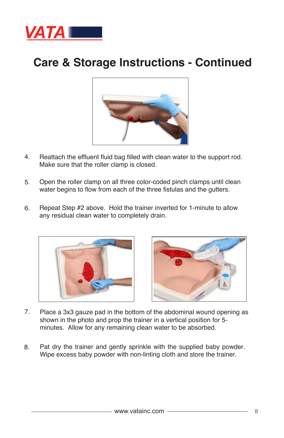

#### **Care & Storage Instructions - Continued**



- Reattach the effluent fluid bag filled with clean water to the support rod. Make sure that the roller clamp is closed. 4.
- 5. Open the roller clamp on all three color-coded pinch clamps until clean water begins to flow from each of the three fistulas and the gutters.
- 6. Repeat Step #2 above. Hold the trainer inverted for 1-minute to allow any residual clean water to completely drain.





- Place a 3x3 gauze pad in the bottom of the abdominal wound opening as shown in the photo and prop the trainer in a vertical position for 5 minutes. Allow for any remaining clean water to be absorbed. 7.
- Pat dry the trainer and gently sprinkle with the supplied baby powder. Wipe excess baby powder with non-linting cloth and store the trainer. 8.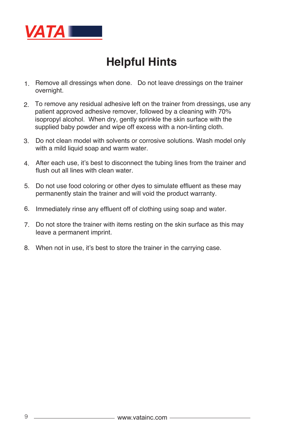

### **Helpful Hints**

- 1. Remove all dressings when done. Do not leave dressings on the trainer overnight.
- 2. To remove any residual adhesive left on the trainer from dressings, use any patient approved adhesive remover, followed by a cleaning with 70% isopropyl alcohol. When dry, gently sprinkle the skin surface with the supplied baby powder and wipe off excess with a non-linting cloth.
- 3. Do not clean model with solvents or corrosive solutions. Wash model only with a mild liquid soap and warm water.
- 4. After each use, it's best to disconnect the tubing lines from the trainer and flush out all lines with clean water.
- 5. Do not use food coloring or other dyes to simulate effluent as these may permanently stain the trainer and will void the product warranty.
- 6. Immediately rinse any effluent off of clothing using soap and water.
- 7. Do not store the trainer with items resting on the skin surface as this may leave a permanent imprint.
- 8. When not in use, it's best to store the trainer in the carrying case.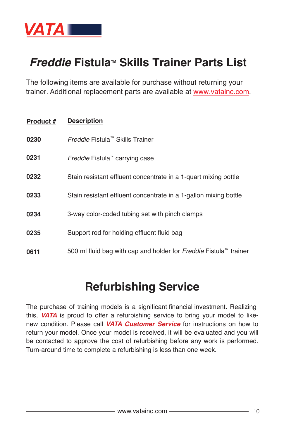

#### **Freddie Fistula™ Skills Trainer Parts List**

The following items are available for purchase without returning your trainer. Additional replacement parts are available at www.vatainc.com.

| Product # | <b>Description</b>                                                |
|-----------|-------------------------------------------------------------------|
| 0230      | Freddie Fistula™ Skills Trainer                                   |
| 0231      | <i>Freddie</i> Fistula <sup>"</sup> carrying case                 |
| 0232      | Stain resistant effluent concentrate in a 1-quart mixing bottle   |
| 0233      | Stain resistant effluent concentrate in a 1-gallon mixing bottle  |
| 0234      | 3-way color-coded tubing set with pinch clamps                    |
| 0235      | Support rod for holding effluent fluid bag                        |
| 0611      | 500 ml fluid bag with cap and holder for Freddie Fistula™ trainer |

#### **Refurbishing Service**

The purchase of training models is a significant financial investment. Realizing this, *VATA* is proud to offer a refurbishing service to bring your model to likenew condition. Please call *VATA Customer Service* for instructions on how to return your model. Once your model is received, it will be evaluated and you will be contacted to approve the cost of refurbishing before any work is performed. Turn-around time to complete a refurbishing is less than one week.